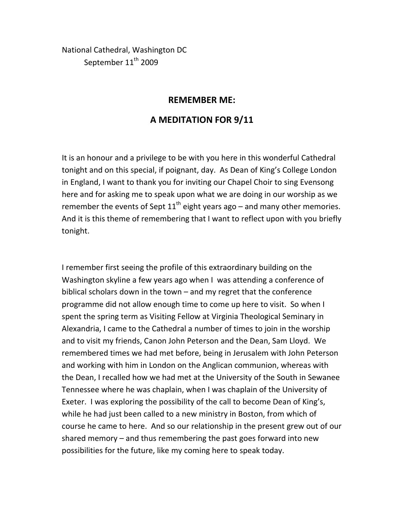National Cathedral, Washington DC September 11<sup>th</sup> 2009

## **REMEMBER ME:**

## **A MEDITATION FOR 9/11**

It is an honour and a privilege to be with you here in this wonderful Cathedral tonight and on this special, if poignant, day. As Dean of King's College London in England, I want to thank you for inviting our Chapel Choir to sing Evensong here and for asking me to speak upon what we are doing in our worship as we remember the events of Sept  $11<sup>th</sup>$  eight years ago – and many other memories. And it is this theme of remembering that I want to reflect upon with you briefly tonight.

I remember first seeing the profile of this extraordinary building on the Washington skyline a few years ago when I was attending a conference of biblical scholars down in the town – and my regret that the conference programme did not allow enough time to come up here to visit. So when I spent the spring term as Visiting Fellow at Virginia Theological Seminary in Alexandria, I came to the Cathedral a number of times to join in the worship and to visit my friends, Canon John Peterson and the Dean, Sam Lloyd. We remembered times we had met before, being in Jerusalem with John Peterson and working with him in London on the Anglican communion, whereas with the Dean, I recalled how we had met at the University of the South in Sewanee Tennessee where he was chaplain, when I was chaplain of the University of Exeter. I was exploring the possibility of the call to become Dean of King's, while he had just been called to a new ministry in Boston, from which of course he came to here. And so our relationship in the present grew out of our shared memory – and thus remembering the past goes forward into new possibilities for the future, like my coming here to speak today.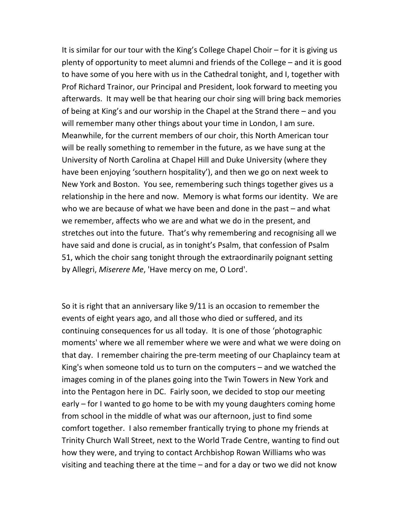It is similar for our tour with the King's College Chapel Choir – for it is giving us plenty of opportunity to meet alumni and friends of the College – and it is good to have some of you here with us in the Cathedral tonight, and I, together with Prof Richard Trainor, our Principal and President, look forward to meeting you afterwards. It may well be that hearing our choir sing will bring back memories of being at King's and our worship in the Chapel at the Strand there – and you will remember many other things about your time in London, I am sure. Meanwhile, for the current members of our choir, this North American tour will be really something to remember in the future, as we have sung at the University of North Carolina at Chapel Hill and Duke University (where they have been enjoying 'southern hospitality'), and then we go on next week to New York and Boston. You see, remembering such things together gives us a relationship in the here and now. Memory is what forms our identity. We are who we are because of what we have been and done in the past – and what we remember, affects who we are and what we do in the present, and stretches out into the future. That's why remembering and recognising all we have said and done is crucial, as in tonight's Psalm, that confession of Psalm 51, which the choir sang tonight through the extraordinarily poignant setting by Allegri, *Miserere Me*, 'Have mercy on me, O Lord'.

So it is right that an anniversary like 9/11 is an occasion to remember the events of eight years ago, and all those who died or suffered, and its continuing consequences for us all today. It is one of those 'photographic moments' where we all remember where we were and what we were doing on that day. I remember chairing the pre‐term meeting of our Chaplaincy team at King's when someone told us to turn on the computers – and we watched the images coming in of the planes going into the Twin Towers in New York and into the Pentagon here in DC. Fairly soon, we decided to stop our meeting early – for I wanted to go home to be with my young daughters coming home from school in the middle of what was our afternoon, just to find some comfort together. I also remember frantically trying to phone my friends at Trinity Church Wall Street, next to the World Trade Centre, wanting to find out how they were, and trying to contact Archbishop Rowan Williams who was visiting and teaching there at the time – and for a day or two we did not know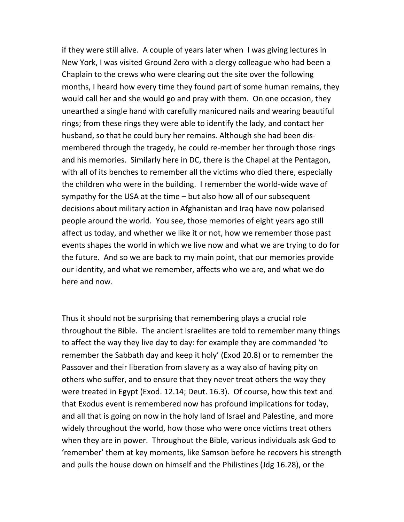if they were still alive. A couple of years later when I was giving lectures in New York, I was visited Ground Zero with a clergy colleague who had been a Chaplain to the crews who were clearing out the site over the following months, I heard how every time they found part of some human remains, they would call her and she would go and pray with them. On one occasion, they unearthed a single hand with carefully manicured nails and wearing beautiful rings; from these rings they were able to identify the lady, and contact her husband, so that he could bury her remains. Although she had been dis‐ membered through the tragedy, he could re-member her through those rings and his memories. Similarly here in DC, there is the Chapel at the Pentagon, with all of its benches to remember all the victims who died there, especially the children who were in the building. I remember the world‐wide wave of sympathy for the USA at the time – but also how all of our subsequent decisions about military action in Afghanistan and Iraq have now polarised people around the world. You see, those memories of eight years ago still affect us today, and whether we like it or not, how we remember those past events shapes the world in which we live now and what we are trying to do for the future. And so we are back to my main point, that our memories provide our identity, and what we remember, affects who we are, and what we do here and now.

Thus it should not be surprising that remembering plays a crucial role throughout the Bible. The ancient Israelites are told to remember many things to affect the way they live day to day: for example they are commanded 'to remember the Sabbath day and keep it holy' (Exod 20.8) or to remember the Passover and their liberation from slavery as a way also of having pity on others who suffer, and to ensure that they never treat others the way they were treated in Egypt (Exod. 12.14; Deut. 16.3). Of course, how this text and that Exodus event is remembered now has profound implications for today, and all that is going on now in the holy land of Israel and Palestine, and more widely throughout the world, how those who were once victims treat others when they are in power. Throughout the Bible, various individuals ask God to 'remember' them at key moments, like Samson before he recovers his strength and pulls the house down on himself and the Philistines (Jdg 16.28), or the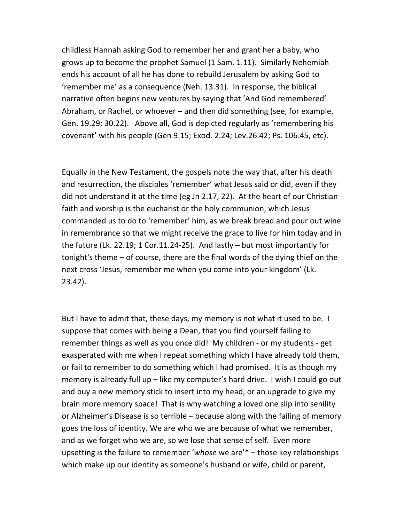childless Hannah asking God to remember her and grant her a baby, who grows up to become the prophet Samuel (1 Sam. 1.11). Similarly Nehemiah ends his account of all he has done to rebuild Jerusalem by asking God to 'remember me' as a consequence (Neh. 13.31). In response, the biblical narrative often begins new ventures by saying that 'And God remembered' Abraham, or Rachel, or whoever – and then did something (see, for example, Gen. 19.29; 30.22). Above all, God is depicted regularly as 'remembering his covenant' with his people (Gen 9.15; Exod. 2.24; Lev.26.42; Ps. 106.45, etc).

Equally in the New Testament, the gospels note the way that, after his death and resurrection, the disciples 'remember' what Jesus said or did, even if they did not understand it at the time (eg Jn 2.17, 22). At the heart of our Christian faith and worship is the eucharist or the holy communion, which Jesus commanded us to do to 'remember' him, as we break bread and pour out wine in remembrance so that we might receive the grace to live for him today and in the future (Lk. 22.19; 1 Cor.11.24‐25). And lastly – but most importantly for tonight's theme – of course, there are the final words of the dying thief on the next cross 'Jesus, remember me when you come into your kingdom' (Lk. 23.42).

But I have to admit that, these days, my memory is not what it used to be. I suppose that comes with being a Dean, that you find yourself failing to remember things as well as you once did! My children ‐ or my students ‐ get exasperated with me when I repeat something which I have already told them, or fail to remember to do something which I had promised. It is as though my memory is already full up – like my computer's hard drive. I wish I could go out and buy a new memory stick to insert into my head, or an upgrade to give my brain more memory space! That is why watching a loved one slip into senility or Alzheimer's Disease is so terrible – because along with the failing of memory goes the loss of identity. We are who we are because of what we remember, and as we forget who we are, so we lose that sense of self. Even more upsetting is the failure to remember '*whose* we are'\* – those key relationships which make up our identity as someone's husband or wife, child or parent,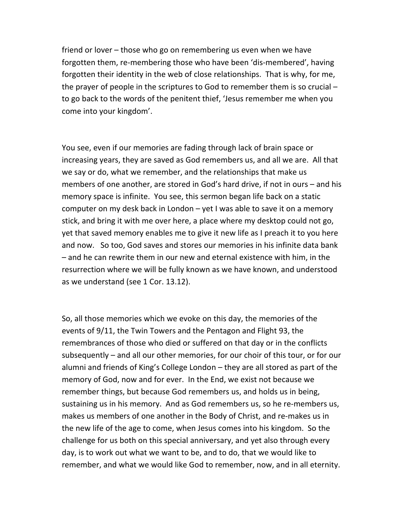friend or lover – those who go on remembering us even when we have forgotten them, re-membering those who have been 'dis-membered', having forgotten their identity in the web of close relationships. That is why, for me, the prayer of people in the scriptures to God to remember them is so crucial – to go back to the words of the penitent thief, 'Jesus remember me when you come into your kingdom'.

You see, even if our memories are fading through lack of brain space or increasing years, they are saved as God remembers us, and all we are. All that we say or do, what we remember, and the relationships that make us members of one another, are stored in God's hard drive, if not in ours – and his memory space is infinite. You see, this sermon began life back on a static computer on my desk back in London – yet I was able to save it on a memory stick, and bring it with me over here, a place where my desktop could not go, yet that saved memory enables me to give it new life as I preach it to you here and now. So too, God saves and stores our memories in his infinite data bank – and he can rewrite them in our new and eternal existence with him, in the resurrection where we will be fully known as we have known, and understood as we understand (see 1 Cor. 13.12).

So, all those memories which we evoke on this day, the memories of the events of 9/11, the Twin Towers and the Pentagon and Flight 93, the remembrances of those who died or suffered on that day or in the conflicts subsequently – and all our other memories, for our choir of this tour, or for our alumni and friends of King's College London – they are all stored as part of the memory of God, now and for ever. In the End, we exist not because we remember things, but because God remembers us, and holds us in being, sustaining us in his memory. And as God remembers us, so he re‐members us, makes us members of one another in the Body of Christ, and re‐makes us in the new life of the age to come, when Jesus comes into his kingdom. So the challenge for us both on this special anniversary, and yet also through every day, is to work out what we want to be, and to do, that we would like to remember, and what we would like God to remember, now, and in all eternity.